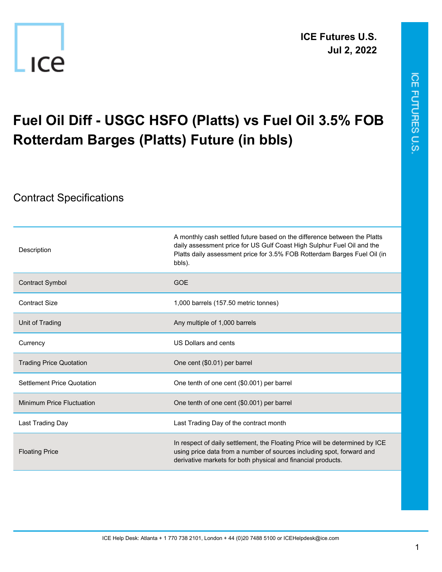



## **Fuel Oil Diff - USGC HSFO (Platts) vs Fuel Oil 3.5% FOB Rotterdam Barges (Platts) Future (in bbls)**

## Contract Specifications

-ICe

| Description                       | A monthly cash settled future based on the difference between the Platts<br>daily assessment price for US Gulf Coast High Sulphur Fuel Oil and the<br>Platts daily assessment price for 3.5% FOB Rotterdam Barges Fuel Oil (in<br>bbls). |
|-----------------------------------|------------------------------------------------------------------------------------------------------------------------------------------------------------------------------------------------------------------------------------------|
| Contract Symbol                   | <b>GOE</b>                                                                                                                                                                                                                               |
| <b>Contract Size</b>              | 1,000 barrels (157.50 metric tonnes)                                                                                                                                                                                                     |
| Unit of Trading                   | Any multiple of 1,000 barrels                                                                                                                                                                                                            |
| Currency                          | US Dollars and cents                                                                                                                                                                                                                     |
| <b>Trading Price Quotation</b>    | One cent (\$0.01) per barrel                                                                                                                                                                                                             |
| <b>Settlement Price Quotation</b> | One tenth of one cent (\$0.001) per barrel                                                                                                                                                                                               |
| Minimum Price Fluctuation         | One tenth of one cent (\$0.001) per barrel                                                                                                                                                                                               |
| Last Trading Day                  | Last Trading Day of the contract month                                                                                                                                                                                                   |
| <b>Floating Price</b>             | In respect of daily settlement, the Floating Price will be determined by ICE<br>using price data from a number of sources including spot, forward and<br>derivative markets for both physical and financial products.                    |